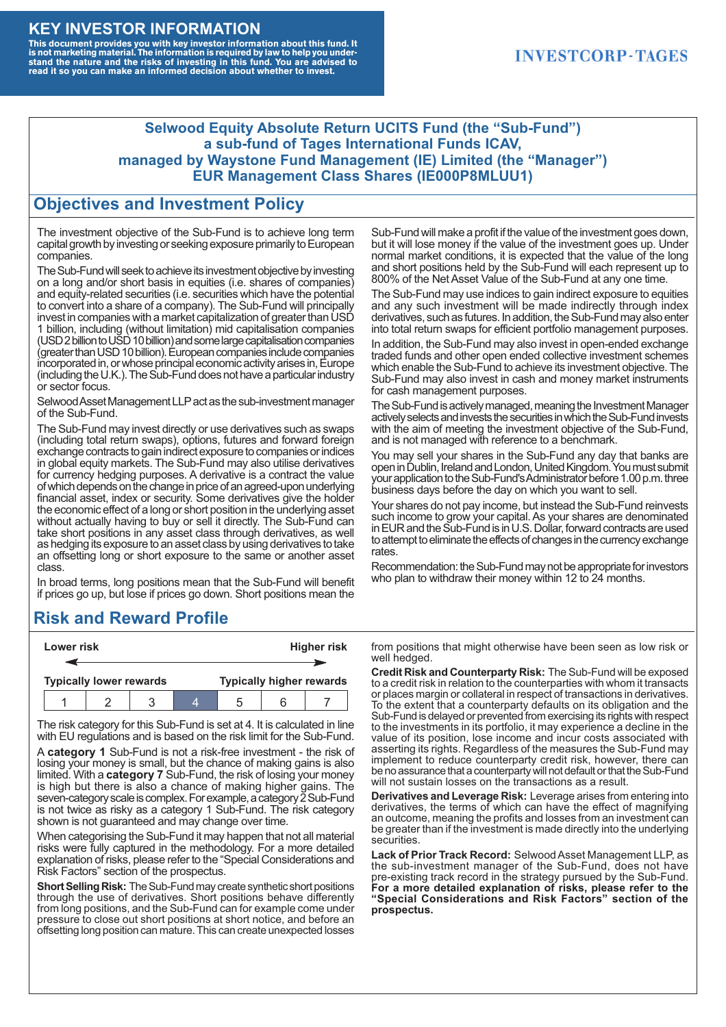#### **KEY INVESTOR INFORMATION**

This document provides you with key investor information about this fund. It<br>is not marketing material. The information is required by law to help you under-<br>stand the nature and the risks of investing in this fund. You ar

### **INVESTCORP-TAGES**

#### **Selwood Equity Absolute Return UCITS Fund (the "Sub-Fund") a sub-fund of Tages International Funds ICAV, managed by Waystone Fund Management (IE) Limited (the "Manager") EUR Management Class Shares (IE000P8MLUU1)**

#### **Objectives and Investment Policy**

The investment objective of the Sub-Fund is to achieve long term capital growth by investing or seeking exposure primarily to European companies.

The Sub-Fund will seek to achieve its investment objective by investing on a long and/or short basis in equities (i.e. shares of companies) and equity-related securities (i.e. securities which have the potential to convert into a share of a company). The Sub-Fund will principally invest in companies with a market capitalization of greater than USD 1 billion, including (without limitation) mid capitalisation companies (USD 2 billion to USD 10 billion) and some large capitalisation companies (greaterthanUSD10billion).European companiesinclude companies incorporated in, or whose principal economic activity arises in, Europe (including the U.K.). The Sub-Fund does not have a particular industry or sector focus.

Selwood Asset Management LLP act as the sub-investment manager of the Sub-Fund.

The Sub-Fund may invest directly or use derivatives such as swaps (including total return swaps), options, futures and forward foreign exchange contracts to gain indirect exposure to companies or indices in global equity markets. The Sub-Fund may also utilise derivatives for currency hedging purposes. A derivative is a contract the value ofwhich depends onthe change in price of an agreed-upon underlying financial asset, index or security. Some derivatives give the holder the economic effect of a long or short position in the underlying asset without actually having to buy or sell it directly. The Sub-Fund can take short positions in any asset class through derivatives, as well as hedging its exposure to an asset class by using derivatives to take an offsetting long or short exposure to the same or another asset class.

In broad terms, long positions mean that the Sub-Fund will benefit if prices go up, but lose if prices go down. Short positions mean the

# **Risk and Reward Profile**

|                                | Lower risk |  |  |                                 |  | <b>Higher risk</b> |
|--------------------------------|------------|--|--|---------------------------------|--|--------------------|
|                                |            |  |  |                                 |  |                    |
| <b>Typically lower rewards</b> |            |  |  | <b>Typically higher rewards</b> |  |                    |
|                                |            |  |  | :5                              |  |                    |

The risk category for this Sub-Fund is set at 4. It is calculated in line with EU regulations and is based on the risk limit for the Sub-Fund.

A **category 1** Sub-Fund is not a risk-free investment - the risk of losing your money is small, but the chance of making gains is also limited. With a **category 7** Sub-Fund, the risk of losing your money is high but there is also a chance of making higher gains. The seven-category scale is complex. For example, a category 2 Sub-Fund is not twice as risky as a category 1 Sub-Fund. The risk category shown is not guaranteed and may change over time.

When categorising the Sub-Fund it may happen that not all material risks were fully captured in the methodology. For a more detailed explanation of risks, please refer to the "Special Considerations and Risk Factors" section of the prospectus.

**Short Selling Risk:** The Sub-Fund may create synthetic short positions through the use of derivatives. Short positions behave differently from long positions, and the Sub-Fund can for example come under pressure to close out short positions at short notice, and before an offsetting long position can mature. This can create unexpected losses

Sub-Fund will make a profit if the value of the investment goes down, but it will lose money if the value of the investment goes up. Under normal market conditions, it is expected that the value of the long and short positions held by the Sub-Fund will each represent up to 800% of the Net Asset Value of the Sub-Fund at any one time.

The Sub-Fund may use indices to gain indirect exposure to equities and any such investment will be made indirectly through index derivatives, such as futures. In addition, the Sub-Fund may also enter into total return swaps for efficient portfolio management purposes.

In addition, the Sub-Fund may also invest in open-ended exchange traded funds and other open ended collective investment schemes which enable the Sub-Fund to achieve its investment objective. The Sub-Fund may also invest in cash and money market instruments for cash management purposes.

The Sub-Fund is actively managed, meaning the Investment Manager actively selects and invests the securities in which the Sub-Fund invests with the aim of meeting the investment objective of the Sub-Fund, and is not managed with reference to a benchmark.

You may sell your shares in the Sub-Fund any day that banks are open in Dublin, Ireland and London, United Kingdom. You must submit your application to the Sub-Fund's Administrator before 1.00 p.m. three business days before the day on which you want to sell.

Your shares do not pay income, but instead the Sub-Fund reinvests such income to grow your capital. As your shares are denominated in EUR and the Sub-Fund is in U.S. Dollar, forward contracts are used to attempt to eliminate the effects of changes in the currency exchange rates.

Recommendation: the Sub-Fund may not be appropriate for investors who plan to withdraw their money within 12 to 24 months.

from positions that might otherwise have been seen as low risk or well hedged.

**Credit Risk and Counterparty Risk:** The Sub-Fund will be exposed to a credit risk in relation to the counterparties with whom it transacts or places margin or collateral in respect of transactions in derivatives. To the extent that a counterparty defaults on its obligation and the Sub-Fund is delayed or prevented from exercising its rights with respect to the investments in its portfolio, it may experience a decline in the value of its position, lose income and incur costs associated with asserting its rights. Regardless of the measures the Sub-Fund may implement to reduce counterparty credit risk, however, there can be no assurance that a counterparty will not default or that the Sub-Fund will not sustain losses on the transactions as a result.

**Derivatives and Leverage Risk:** Leverage arises from entering into derivatives, the terms of which can have the effect of magnifying an outcome, meaning the profits and losses from an investment can be greater than if the investment is made directly into the underlying **securities**.

**Lack of Prior Track Record:** Selwood Asset Management LLP, as the sub-investment manager of the Sub-Fund, does not have pre-existing track record in the strategy pursued by the Sub-Fund. **For a more detailed explanation of risks, please refer to the "Special Considerations and Risk Factors" section of the prospectus.**